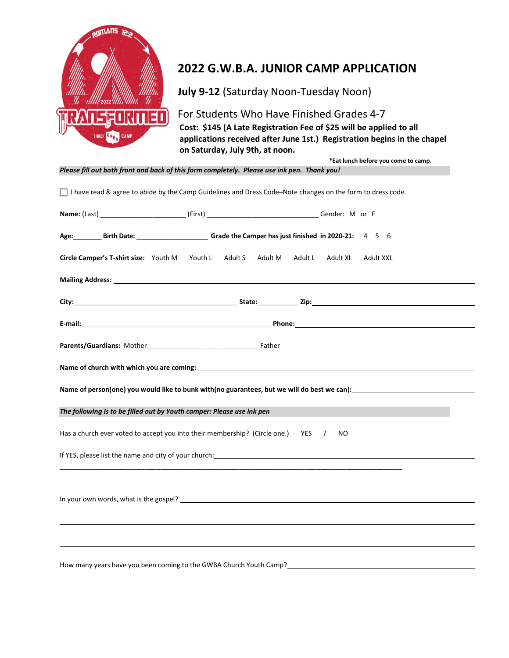

## 2022 G.W.B.A. JUNIOR CAMP APPLICATION

July 9-12 (Saturday Noon-Tuesday Noon)

## For Students Who Have Finished Grades 4-7

Cost: \$145 (A Late Registration Fee of \$25 will be applied to all applications received after June 1st.) Registration begins in the chapel on Saturday, July 9th, at noon.

\*Eat lunch before you come to camp.

Please fill out both front and back of this form completely. Please use ink pen. Thank you!

| □ I have read & agree to abide by the Camp Guidelines and Dress Code-Note changes on the form to dress code.                                                                                                                   |  |                                                                                                                                                                                                                                      |  |
|--------------------------------------------------------------------------------------------------------------------------------------------------------------------------------------------------------------------------------|--|--------------------------------------------------------------------------------------------------------------------------------------------------------------------------------------------------------------------------------------|--|
|                                                                                                                                                                                                                                |  |                                                                                                                                                                                                                                      |  |
| Age: Birth Date: Camper has just finished in 2020-21: 4 5 6                                                                                                                                                                    |  |                                                                                                                                                                                                                                      |  |
| Circle Camper's T-shirt size: Youth M Youth L Adult S                                                                                                                                                                          |  | Adult M Adult L<br>Adult XL<br>Adult XXL                                                                                                                                                                                             |  |
|                                                                                                                                                                                                                                |  | Mailing Address: <u>example and a series of the series of the series of the series of the series of the series of the series of the series of the series of the series of the series of the series of the series of the series o</u> |  |
|                                                                                                                                                                                                                                |  |                                                                                                                                                                                                                                      |  |
|                                                                                                                                                                                                                                |  |                                                                                                                                                                                                                                      |  |
|                                                                                                                                                                                                                                |  |                                                                                                                                                                                                                                      |  |
| Name of church with which you are coming: Name of the state of the state of the state of the state of the state of the state of the state of the state of the state of the state of the state of the state of the state of the |  |                                                                                                                                                                                                                                      |  |
|                                                                                                                                                                                                                                |  |                                                                                                                                                                                                                                      |  |
| The following is to be filled out by Youth camper: Please use ink pen                                                                                                                                                          |  |                                                                                                                                                                                                                                      |  |
| Has a church ever voted to accept you into their membership? (Circle one.) YES<br>$\sqrt{ }$<br>N <sub>O</sub>                                                                                                                 |  |                                                                                                                                                                                                                                      |  |
| If YES, please list the name and city of your church: The manufacture of the state of the state of the state of                                                                                                                |  |                                                                                                                                                                                                                                      |  |
|                                                                                                                                                                                                                                |  |                                                                                                                                                                                                                                      |  |
| In your own words, what is the gospel? Learner and the state of the state of the state of the state of the state of the state of the state of the state of the state of the state of the state of the state of the state of th |  |                                                                                                                                                                                                                                      |  |
|                                                                                                                                                                                                                                |  |                                                                                                                                                                                                                                      |  |
|                                                                                                                                                                                                                                |  |                                                                                                                                                                                                                                      |  |
| How many years have you been coming to the GWBA Church Youth Camp?                                                                                                                                                             |  |                                                                                                                                                                                                                                      |  |